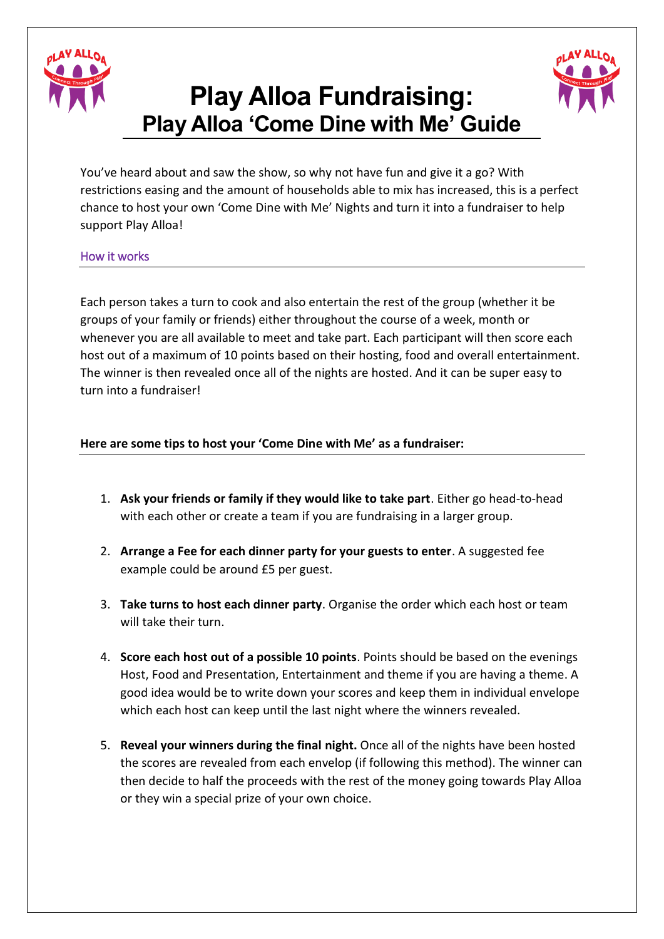

## **Play Alloa Fundraising: Play Alloa 'Come Dine with Me' Guide**



You've heard about and saw the show, so why not have fun and give it a go? With restrictions easing and the amount of households able to mix has increased, this is a perfect chance to host your own 'Come Dine with Me' Nights and turn it into a fundraiser to help support Play Alloa!

## How it works

Each person takes a turn to cook and also entertain the rest of the group (whether it be groups of your family or friends) either throughout the course of a week, month or whenever you are all available to meet and take part. Each participant will then score each host out of a maximum of 10 points based on their hosting, food and overall entertainment. The winner is then revealed once all of the nights are hosted. And it can be super easy to turn into a fundraiser!

## **Here are some tips to host your 'Come Dine with Me' as a fundraiser:**

- 1. **Ask your friends or family if they would like to take part**. Either go head-to-head with each other or create a team if you are fundraising in a larger group.
- 2. **Arrange a Fee for each dinner party for your guests to enter**. A suggested fee example could be around £5 per guest.
- 3. **Take turns to host each dinner party**. Organise the order which each host or team will take their turn.
- 4. **Score each host out of a possible 10 points**. Points should be based on the evenings Host, Food and Presentation, Entertainment and theme if you are having a theme. A good idea would be to write down your scores and keep them in individual envelope which each host can keep until the last night where the winners revealed.
- 5. **Reveal your winners during the final night.** Once all of the nights have been hosted the scores are revealed from each envelop (if following this method). The winner can then decide to half the proceeds with the rest of the money going towards Play Alloa or they win a special prize of your own choice.